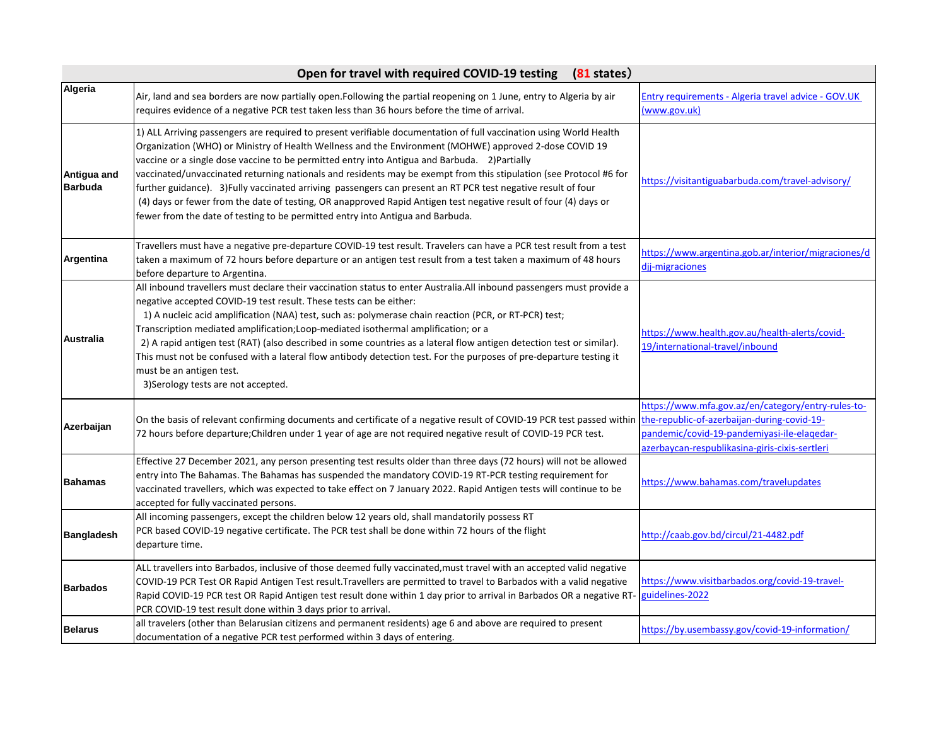|                               | Open for travel with required COVID-19 testing (81 states)                                                                                                                                                                                                                                                                                                                                                                                                                                                                                                                                                                                                                                                                                                                 |                                                                                                                                                                                                    |
|-------------------------------|----------------------------------------------------------------------------------------------------------------------------------------------------------------------------------------------------------------------------------------------------------------------------------------------------------------------------------------------------------------------------------------------------------------------------------------------------------------------------------------------------------------------------------------------------------------------------------------------------------------------------------------------------------------------------------------------------------------------------------------------------------------------------|----------------------------------------------------------------------------------------------------------------------------------------------------------------------------------------------------|
| Algeria                       | Air, land and sea borders are now partially open.Following the partial reopening on 1 June, entry to Algeria by air<br>requires evidence of a negative PCR test taken less than 36 hours before the time of arrival.                                                                                                                                                                                                                                                                                                                                                                                                                                                                                                                                                       | Entry requirements - Algeria travel advice - GOV.UK<br>(www.gov.uk)                                                                                                                                |
| Antigua and<br><b>Barbuda</b> | 1) ALL Arriving passengers are required to present verifiable documentation of full vaccination using World Health<br>Organization (WHO) or Ministry of Health Wellness and the Environment (MOHWE) approved 2-dose COVID 19<br>vaccine or a single dose vaccine to be permitted entry into Antigua and Barbuda. 2) Partially<br>vaccinated/unvaccinated returning nationals and residents may be exempt from this stipulation (see Protocol #6 for<br>further guidance). 3) Fully vaccinated arriving passengers can present an RT PCR test negative result of four<br>(4) days or fewer from the date of testing, OR anapproved Rapid Antigen test negative result of four (4) days or<br>fewer from the date of testing to be permitted entry into Antigua and Barbuda. | https://visitantiguabarbuda.com/travel-advisory/                                                                                                                                                   |
| Argentina                     | Travellers must have a negative pre-departure COVID-19 test result. Travelers can have a PCR test result from a test<br>taken a maximum of 72 hours before departure or an antigen test result from a test taken a maximum of 48 hours<br>before departure to Argentina.                                                                                                                                                                                                                                                                                                                                                                                                                                                                                                   | https://www.argentina.gob.ar/interior/migraciones/d<br>djj-migraciones                                                                                                                             |
| Australia                     | All inbound travellers must declare their vaccination status to enter Australia.All inbound passengers must provide a<br>negative accepted COVID-19 test result. These tests can be either:<br>1) A nucleic acid amplification (NAA) test, such as: polymerase chain reaction (PCR, or RT-PCR) test;<br>Transcription mediated amplification; Loop-mediated isothermal amplification; or a<br>2) A rapid antigen test (RAT) (also described in some countries as a lateral flow antigen detection test or similar).<br>This must not be confused with a lateral flow antibody detection test. For the purposes of pre-departure testing it<br>must be an antigen test.<br>3) Serology tests are not accepted.                                                              | https://www.health.gov.au/health-alerts/covid-<br>19/international-travel/inbound                                                                                                                  |
| Azerbaijan                    | On the basis of relevant confirming documents and certificate of a negative result of COVID-19 PCR test passed within<br>72 hours before departure; Children under 1 year of age are not required negative result of COVID-19 PCR test.                                                                                                                                                                                                                                                                                                                                                                                                                                                                                                                                    | https://www.mfa.gov.az/en/category/entry-rules-to-<br>the-republic-of-azerbaijan-during-covid-19-<br>pandemic/covid-19-pandemiyasi-ile-elaqedar-<br>azerbaycan-respublikasina-giris-cixis-sertleri |
| <b>Bahamas</b>                | Effective 27 December 2021, any person presenting test results older than three days (72 hours) will not be allowed<br>entry into The Bahamas. The Bahamas has suspended the mandatory COVID-19 RT-PCR testing requirement for<br>vaccinated travellers, which was expected to take effect on 7 January 2022. Rapid Antigen tests will continue to be<br>accepted for fully vaccinated persons.                                                                                                                                                                                                                                                                                                                                                                            | https://www.bahamas.com/travelupdates                                                                                                                                                              |
| <b>Bangladesh</b>             | All incoming passengers, except the children below 12 years old, shall mandatorily possess RT<br>PCR based COVID-19 negative certificate. The PCR test shall be done within 72 hours of the flight<br>departure time.                                                                                                                                                                                                                                                                                                                                                                                                                                                                                                                                                      | http://caab.gov.bd/circul/21-4482.pdf                                                                                                                                                              |
| <b>Barbados</b>               | ALL travellers into Barbados, inclusive of those deemed fully vaccinated, must travel with an accepted valid negative<br>COVID-19 PCR Test OR Rapid Antigen Test result. Travellers are permitted to travel to Barbados with a valid negative<br>Rapid COVID-19 PCR test OR Rapid Antigen test result done within 1 day prior to arrival in Barbados OR a negative RT-<br>PCR COVID-19 test result done within 3 days prior to arrival.                                                                                                                                                                                                                                                                                                                                    | https://www.visitbarbados.org/covid-19-travel-<br>guidelines-2022                                                                                                                                  |
| <b>Belarus</b>                | all travelers (other than Belarusian citizens and permanent residents) age 6 and above are required to present<br>documentation of a negative PCR test performed within 3 days of entering.                                                                                                                                                                                                                                                                                                                                                                                                                                                                                                                                                                                | https://by.usembassy.gov/covid-19-information/                                                                                                                                                     |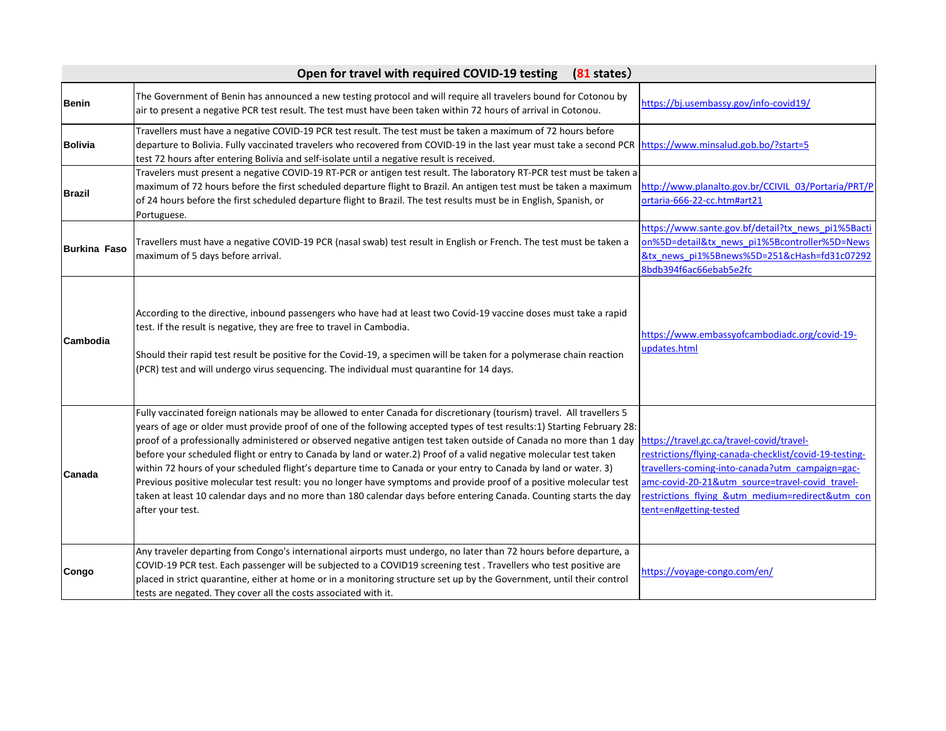|                     | Open for travel with required COVID-19 testing<br>$(81$ states)                                                                                                                                                                                                                                                                                                                                                                                                                                                                                                                                                                                                                                                                                                                                                                                                                      |                                                                                                                                                                                                                                                                                         |
|---------------------|--------------------------------------------------------------------------------------------------------------------------------------------------------------------------------------------------------------------------------------------------------------------------------------------------------------------------------------------------------------------------------------------------------------------------------------------------------------------------------------------------------------------------------------------------------------------------------------------------------------------------------------------------------------------------------------------------------------------------------------------------------------------------------------------------------------------------------------------------------------------------------------|-----------------------------------------------------------------------------------------------------------------------------------------------------------------------------------------------------------------------------------------------------------------------------------------|
| <b>Benin</b>        | The Government of Benin has announced a new testing protocol and will require all travelers bound for Cotonou by<br>air to present a negative PCR test result. The test must have been taken within 72 hours of arrival in Cotonou.                                                                                                                                                                                                                                                                                                                                                                                                                                                                                                                                                                                                                                                  | https://bj.usembassy.gov/info-covid19/                                                                                                                                                                                                                                                  |
| <b>Bolivia</b>      | Travellers must have a negative COVID-19 PCR test result. The test must be taken a maximum of 72 hours before<br>departure to Bolivia. Fully vaccinated travelers who recovered from COVID-19 in the last year must take a second PCR<br>test 72 hours after entering Bolivia and self-isolate until a negative result is received.                                                                                                                                                                                                                                                                                                                                                                                                                                                                                                                                                  | https://www.minsalud.gob.bo/?start=5                                                                                                                                                                                                                                                    |
| <b>Brazil</b>       | Travelers must present a negative COVID-19 RT-PCR or antigen test result. The laboratory RT-PCR test must be taken a<br>maximum of 72 hours before the first scheduled departure flight to Brazil. An antigen test must be taken a maximum<br>of 24 hours before the first scheduled departure flight to Brazil. The test results must be in English, Spanish, or<br>Portuguese.                                                                                                                                                                                                                                                                                                                                                                                                                                                                                                     | http://www.planalto.gov.br/CCIVIL 03/Portaria/PRT/P<br>ortaria-666-22-cc.htm#art21                                                                                                                                                                                                      |
| <b>Burkina Faso</b> | Travellers must have a negative COVID-19 PCR (nasal swab) test result in English or French. The test must be taken a<br>maximum of 5 days before arrival.                                                                                                                                                                                                                                                                                                                                                                                                                                                                                                                                                                                                                                                                                                                            | https://www.sante.gov.bf/detail?tx news pi1%5Bacti<br>on%5D=detail&tx news pi1%5Bcontroller%5D=News<br>&tx news pi1%5Bnews%5D=251&cHash=fd31c07292<br>8bdb394f6ac66ebab5e2fc                                                                                                            |
| Cambodia            | According to the directive, inbound passengers who have had at least two Covid-19 vaccine doses must take a rapid<br>test. If the result is negative, they are free to travel in Cambodia.<br>Should their rapid test result be positive for the Covid-19, a specimen will be taken for a polymerase chain reaction<br>(PCR) test and will undergo virus sequencing. The individual must quarantine for 14 days.                                                                                                                                                                                                                                                                                                                                                                                                                                                                     | https://www.embassyofcambodiadc.org/covid-19-<br>updates.html                                                                                                                                                                                                                           |
| Canada              | Fully vaccinated foreign nationals may be allowed to enter Canada for discretionary (tourism) travel. All travellers 5<br>years of age or older must provide proof of one of the following accepted types of test results:1) Starting February 28:<br>proof of a professionally administered or observed negative antigen test taken outside of Canada no more than 1 day<br>before your scheduled flight or entry to Canada by land or water.2) Proof of a valid negative molecular test taken<br>within 72 hours of your scheduled flight's departure time to Canada or your entry to Canada by land or water. 3)<br>Previous positive molecular test result: you no longer have symptoms and provide proof of a positive molecular test<br>taken at least 10 calendar days and no more than 180 calendar days before entering Canada. Counting starts the day<br>after your test. | https://travel.gc.ca/travel-covid/travel-<br>restrictions/flying-canada-checklist/covid-19-testing-<br>travellers-coming-into-canada?utm campaign=gac-<br>amc-covid-20-21&utm source=travel-covid travel-<br>restrictions flying &utm medium=redirect&utm con<br>tent=en#getting-tested |
| Congo               | Any traveler departing from Congo's international airports must undergo, no later than 72 hours before departure, a<br>COVID-19 PCR test. Each passenger will be subjected to a COVID19 screening test . Travellers who test positive are<br>placed in strict quarantine, either at home or in a monitoring structure set up by the Government, until their control<br>tests are negated. They cover all the costs associated with it.                                                                                                                                                                                                                                                                                                                                                                                                                                               | https://voyage-congo.com/en/                                                                                                                                                                                                                                                            |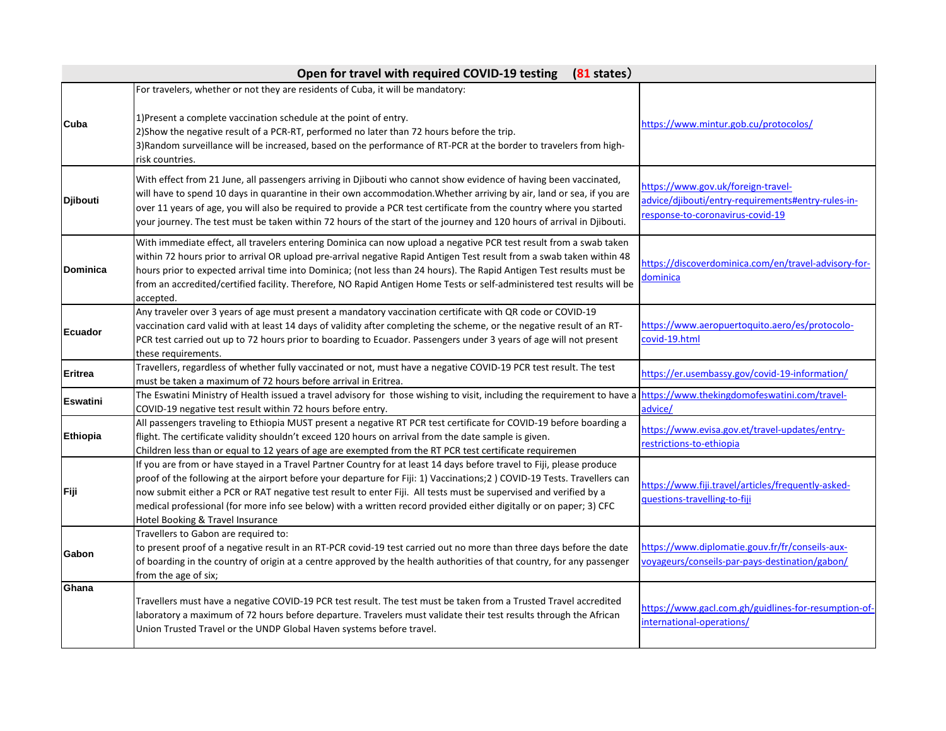| Open for travel with required COVID-19 testing<br>$(81$ states) |                                                                                                                                                                                                                                                                                                                                                                                                                                                                                                                                 |                                                                                                                              |
|-----------------------------------------------------------------|---------------------------------------------------------------------------------------------------------------------------------------------------------------------------------------------------------------------------------------------------------------------------------------------------------------------------------------------------------------------------------------------------------------------------------------------------------------------------------------------------------------------------------|------------------------------------------------------------------------------------------------------------------------------|
| Cuba                                                            | For travelers, whether or not they are residents of Cuba, it will be mandatory:<br>1) Present a complete vaccination schedule at the point of entry.<br>2) Show the negative result of a PCR-RT, performed no later than 72 hours before the trip.<br>3) Random surveillance will be increased, based on the performance of RT-PCR at the border to travelers from high-<br>risk countries.                                                                                                                                     | https://www.mintur.gob.cu/protocolos/                                                                                        |
| Djibouti                                                        | With effect from 21 June, all passengers arriving in Djibouti who cannot show evidence of having been vaccinated,<br>will have to spend 10 days in quarantine in their own accommodation. Whether arriving by air, land or sea, if you are<br>over 11 years of age, you will also be required to provide a PCR test certificate from the country where you started<br>your journey. The test must be taken within 72 hours of the start of the journey and 120 hours of arrival in Djibouti.                                    | https://www.gov.uk/foreign-travel-<br>advice/djibouti/entry-requirements#entry-rules-in-<br>response-to-coronavirus-covid-19 |
| <b>Dominica</b>                                                 | With immediate effect, all travelers entering Dominica can now upload a negative PCR test result from a swab taken<br>within 72 hours prior to arrival OR upload pre-arrival negative Rapid Antigen Test result from a swab taken within 48<br>hours prior to expected arrival time into Dominica; (not less than 24 hours). The Rapid Antigen Test results must be<br>from an accredited/certified facility. Therefore, NO Rapid Antigen Home Tests or self-administered test results will be<br>accepted.                     | https://discoverdominica.com/en/travel-advisory-for-<br>dominica                                                             |
| <b>Ecuador</b>                                                  | Any traveler over 3 years of age must present a mandatory vaccination certificate with QR code or COVID-19<br>vaccination card valid with at least 14 days of validity after completing the scheme, or the negative result of an RT-<br>PCR test carried out up to 72 hours prior to boarding to Ecuador. Passengers under 3 years of age will not present<br>these requirements.                                                                                                                                               | https://www.aeropuertoquito.aero/es/protocolo-<br>covid-19.html                                                              |
| <b>Eritrea</b>                                                  | Travellers, regardless of whether fully vaccinated or not, must have a negative COVID-19 PCR test result. The test<br>must be taken a maximum of 72 hours before arrival in Eritrea.                                                                                                                                                                                                                                                                                                                                            | https://er.usembassy.gov/covid-19-information/                                                                               |
| <b>Eswatini</b>                                                 | The Eswatini Ministry of Health issued a travel advisory for those wishing to visit, including the requirement to have a https://www.thekingdomofeswatini.com/travel-<br>COVID-19 negative test result within 72 hours before entry.                                                                                                                                                                                                                                                                                            | advice/                                                                                                                      |
| Ethiopia                                                        | All passengers traveling to Ethiopia MUST present a negative RT PCR test certificate for COVID-19 before boarding a<br>flight. The certificate validity shouldn't exceed 120 hours on arrival from the date sample is given.<br>Children less than or equal to 12 years of age are exempted from the RT PCR test certificate requiremen                                                                                                                                                                                         | https://www.evisa.gov.et/travel-updates/entry-<br>restrictions-to-ethiopia                                                   |
| Fiji                                                            | If you are from or have stayed in a Travel Partner Country for at least 14 days before travel to Fiji, please produce<br>proof of the following at the airport before your departure for Fiji: 1) Vaccinations;2) COVID-19 Tests. Travellers can<br>now submit either a PCR or RAT negative test result to enter Fiji. All tests must be supervised and verified by a<br>medical professional (for more info see below) with a written record provided either digitally or on paper; 3) CFC<br>Hotel Booking & Travel Insurance | https://www.fiji.travel/articles/frequently-asked-<br>questions-travelling-to-fiji                                           |
| Gabon                                                           | Travellers to Gabon are required to:<br>to present proof of a negative result in an RT-PCR covid-19 test carried out no more than three days before the date<br>of boarding in the country of origin at a centre approved by the health authorities of that country, for any passenger<br>from the age of six;                                                                                                                                                                                                                  | https://www.diplomatie.gouv.fr/fr/conseils-aux-<br>voyageurs/conseils-par-pays-destination/gabon/                            |
| Ghana                                                           | Travellers must have a negative COVID-19 PCR test result. The test must be taken from a Trusted Travel accredited<br>laboratory a maximum of 72 hours before departure. Travelers must validate their test results through the African<br>Union Trusted Travel or the UNDP Global Haven systems before travel.                                                                                                                                                                                                                  | https://www.gacl.com.gh/guidlines-for-resumption-of-<br>international-operations/                                            |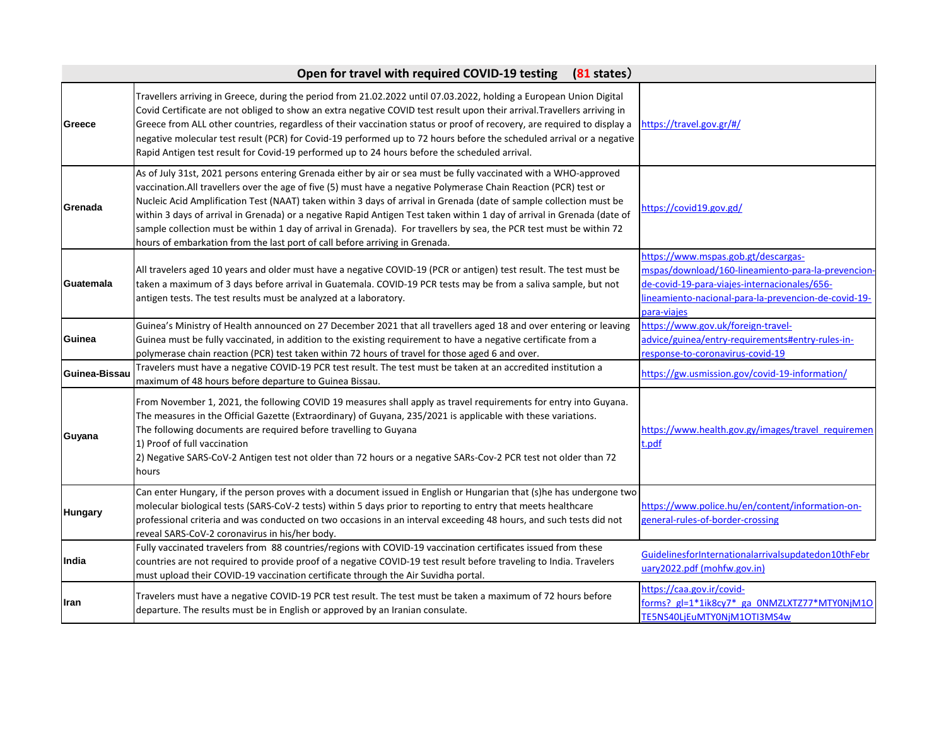|               | Open for travel with required COVID-19 testing<br>$(81$ states)                                                                                                                                                                                                                                                                                                                                                                                                                                                                                                                                                                                                                                |                                                                                                                                                                                                                  |
|---------------|------------------------------------------------------------------------------------------------------------------------------------------------------------------------------------------------------------------------------------------------------------------------------------------------------------------------------------------------------------------------------------------------------------------------------------------------------------------------------------------------------------------------------------------------------------------------------------------------------------------------------------------------------------------------------------------------|------------------------------------------------------------------------------------------------------------------------------------------------------------------------------------------------------------------|
| Greece        | Travellers arriving in Greece, during the period from 21.02.2022 until 07.03.2022, holding a European Union Digital<br>Covid Certificate are not obliged to show an extra negative COVID test result upon their arrival. Travellers arriving in<br>Greece from ALL other countries, regardless of their vaccination status or proof of recovery, are required to display a<br>negative molecular test result (PCR) for Covid-19 performed up to 72 hours before the scheduled arrival or a negative<br>Rapid Antigen test result for Covid-19 performed up to 24 hours before the scheduled arrival.                                                                                           | https://travel.gov.gr/#/                                                                                                                                                                                         |
| Grenada       | As of July 31st, 2021 persons entering Grenada either by air or sea must be fully vaccinated with a WHO-approved<br>vaccination. All travellers over the age of five (5) must have a negative Polymerase Chain Reaction (PCR) test or<br>Nucleic Acid Amplification Test (NAAT) taken within 3 days of arrival in Grenada (date of sample collection must be<br>within 3 days of arrival in Grenada) or a negative Rapid Antigen Test taken within 1 day of arrival in Grenada (date of<br>sample collection must be within 1 day of arrival in Grenada). For travellers by sea, the PCR test must be within 72<br>hours of embarkation from the last port of call before arriving in Grenada. | https://covid19.gov.gd/                                                                                                                                                                                          |
| Guatemala     | All travelers aged 10 years and older must have a negative COVID-19 (PCR or antigen) test result. The test must be<br>taken a maximum of 3 days before arrival in Guatemala. COVID-19 PCR tests may be from a saliva sample, but not<br>antigen tests. The test results must be analyzed at a laboratory.                                                                                                                                                                                                                                                                                                                                                                                      | https://www.mspas.gob.gt/descargas-<br>mspas/download/160-lineamiento-para-la-prevencion-<br>de-covid-19-para-viajes-internacionales/656-<br>lineamiento-nacional-para-la-prevencion-de-covid-19-<br>para-viajes |
| Guinea        | Guinea's Ministry of Health announced on 27 December 2021 that all travellers aged 18 and over entering or leaving<br>Guinea must be fully vaccinated, in addition to the existing requirement to have a negative certificate from a<br>polymerase chain reaction (PCR) test taken within 72 hours of travel for those aged 6 and over.                                                                                                                                                                                                                                                                                                                                                        | https://www.gov.uk/foreign-travel-<br>advice/guinea/entry-requirements#entry-rules-in-<br>response-to-coronavirus-covid-19                                                                                       |
| Guinea-Bissau | Travelers must have a negative COVID-19 PCR test result. The test must be taken at an accredited institution a<br>maximum of 48 hours before departure to Guinea Bissau.                                                                                                                                                                                                                                                                                                                                                                                                                                                                                                                       | https://gw.usmission.gov/covid-19-information/                                                                                                                                                                   |
| Guyana        | From November 1, 2021, the following COVID 19 measures shall apply as travel requirements for entry into Guyana.<br>The measures in the Official Gazette (Extraordinary) of Guyana, 235/2021 is applicable with these variations.<br>The following documents are required before travelling to Guyana<br>1) Proof of full vaccination<br>2) Negative SARS-CoV-2 Antigen test not older than 72 hours or a negative SARs-Cov-2 PCR test not older than 72<br>hours                                                                                                                                                                                                                              | https://www.health.gov.gy/images/travel_requiremen<br>t.pdf                                                                                                                                                      |
| Hungary       | Can enter Hungary, if the person proves with a document issued in English or Hungarian that (s)he has undergone two<br>molecular biological tests (SARS-CoV-2 tests) within 5 days prior to reporting to entry that meets healthcare<br>professional criteria and was conducted on two occasions in an interval exceeding 48 hours, and such tests did not<br>reveal SARS-CoV-2 coronavirus in his/her body.                                                                                                                                                                                                                                                                                   | https://www.police.hu/en/content/information-on-<br>general-rules-of-border-crossing                                                                                                                             |
| India         | Fully vaccinated travelers from 88 countries/regions with COVID-19 vaccination certificates issued from these<br>countries are not required to provide proof of a negative COVID-19 test result before traveling to India. Travelers<br>must upload their COVID-19 vaccination certificate through the Air Suvidha portal.                                                                                                                                                                                                                                                                                                                                                                     | GuidelinesforInternationalarrivalsupdatedon10thFebr<br>uary2022.pdf (mohfw.gov.in)                                                                                                                               |
| Iran          | Travelers must have a negative COVID-19 PCR test result. The test must be taken a maximum of 72 hours before<br>departure. The results must be in English or approved by an Iranian consulate.                                                                                                                                                                                                                                                                                                                                                                                                                                                                                                 | https://caa.gov.ir/covid-<br>forms? gl=1*1ik8cy7* ga 0NMZLXTZ77*MTY0NjM1O<br>TE5NS40LjEuMTY0NjM1OTI3MS4w                                                                                                         |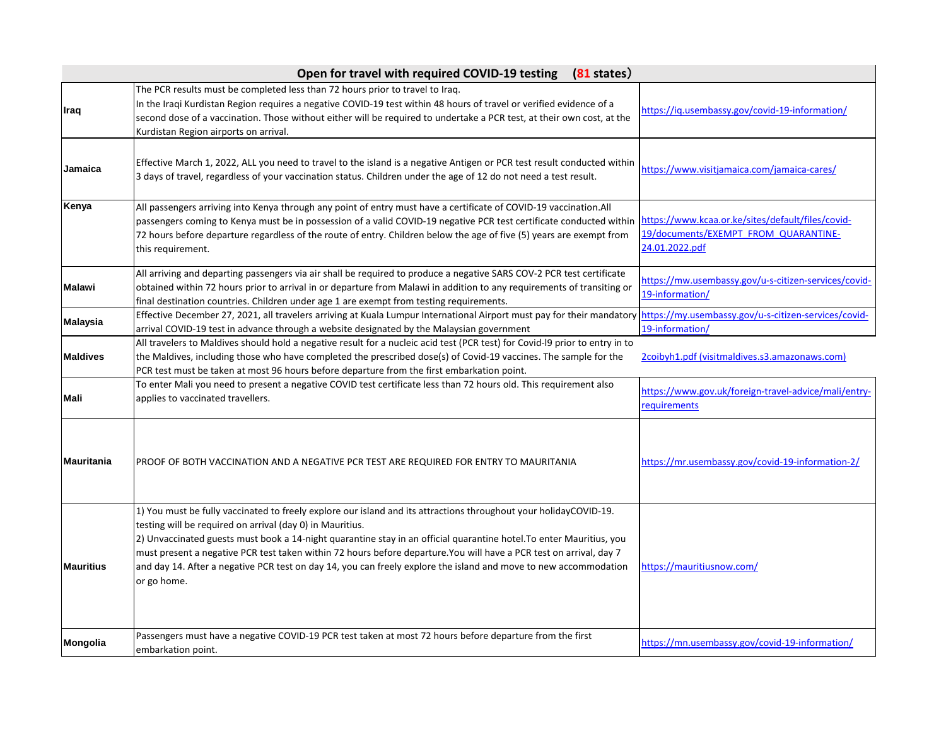|                   | $(81$ states)<br>Open for travel with required COVID-19 testing                                                                                                                                                                                                                                                                                                                                                                                                                                                                                                 |                                                                                                             |
|-------------------|-----------------------------------------------------------------------------------------------------------------------------------------------------------------------------------------------------------------------------------------------------------------------------------------------------------------------------------------------------------------------------------------------------------------------------------------------------------------------------------------------------------------------------------------------------------------|-------------------------------------------------------------------------------------------------------------|
| Iraq              | The PCR results must be completed less than 72 hours prior to travel to Iraq.<br>In the Iragi Kurdistan Region requires a negative COVID-19 test within 48 hours of travel or verified evidence of a<br>second dose of a vaccination. Those without either will be required to undertake a PCR test, at their own cost, at the<br>Kurdistan Region airports on arrival.                                                                                                                                                                                         | https://ig.usembassy.gov/covid-19-information/                                                              |
| Jamaica           | Effective March 1, 2022, ALL you need to travel to the island is a negative Antigen or PCR test result conducted within<br>3 days of travel, regardless of your vaccination status. Children under the age of 12 do not need a test result.                                                                                                                                                                                                                                                                                                                     | https://www.visitjamaica.com/jamaica-cares/                                                                 |
| Kenya             | All passengers arriving into Kenya through any point of entry must have a certificate of COVID-19 vaccination.All<br>passengers coming to Kenya must be in possession of a valid COVID-19 negative PCR test certificate conducted within<br>72 hours before departure regardless of the route of entry. Children below the age of five (5) years are exempt from<br>this requirement.                                                                                                                                                                           | https://www.kcaa.or.ke/sites/default/files/covid-<br>19/documents/EXEMPT FROM QUARANTINE-<br>24.01.2022.pdf |
| <b>Malawi</b>     | All arriving and departing passengers via air shall be required to produce a negative SARS COV-2 PCR test certificate<br>obtained within 72 hours prior to arrival in or departure from Malawi in addition to any requirements of transiting or<br>final destination countries. Children under age 1 are exempt from testing requirements.                                                                                                                                                                                                                      | https://mw.usembassy.gov/u-s-citizen-services/covid-<br>19-information/                                     |
| <b>Malaysia</b>   | Effective December 27, 2021, all travelers arriving at Kuala Lumpur International Airport must pay for their mandatory https://my.usembassy.gov/u-s-citizen-services/covid-<br>arrival COVID-19 test in advance through a website designated by the Malaysian government                                                                                                                                                                                                                                                                                        | 19-information/                                                                                             |
| <b>Maldives</b>   | All travelers to Maldives should hold a negative result for a nucleic acid test (PCR test) for Covid-I9 prior to entry in to<br>the Maldives, including those who have completed the prescribed dose(s) of Covid-19 vaccines. The sample for the<br>PCR test must be taken at most 96 hours before departure from the first embarkation point.                                                                                                                                                                                                                  | 2coibyh1.pdf (visitmaldives.s3.amazonaws.com)                                                               |
| Mali              | To enter Mali you need to present a negative COVID test certificate less than 72 hours old. This requirement also<br>applies to vaccinated travellers.                                                                                                                                                                                                                                                                                                                                                                                                          | https://www.gov.uk/foreign-travel-advice/mali/entry-<br>requirements                                        |
| <b>Mauritania</b> | PROOF OF BOTH VACCINATION AND A NEGATIVE PCR TEST ARE REQUIRED FOR ENTRY TO MAURITANIA                                                                                                                                                                                                                                                                                                                                                                                                                                                                          | https://mr.usembassy.gov/covid-19-information-2/                                                            |
| <b>Mauritius</b>  | 1) You must be fully vaccinated to freely explore our island and its attractions throughout your holidayCOVID-19.<br>testing will be required on arrival (day 0) in Mauritius.<br>2) Unvaccinated guests must book a 14-night quarantine stay in an official quarantine hotel. To enter Mauritius, you<br>must present a negative PCR test taken within 72 hours before departure.You will have a PCR test on arrival, day 7<br>and day 14. After a negative PCR test on day 14, you can freely explore the island and move to new accommodation<br>or go home. | https://mauritiusnow.com/                                                                                   |
| <b>Mongolia</b>   | Passengers must have a negative COVID-19 PCR test taken at most 72 hours before departure from the first<br>embarkation point.                                                                                                                                                                                                                                                                                                                                                                                                                                  | https://mn.usembassy.gov/covid-19-information/                                                              |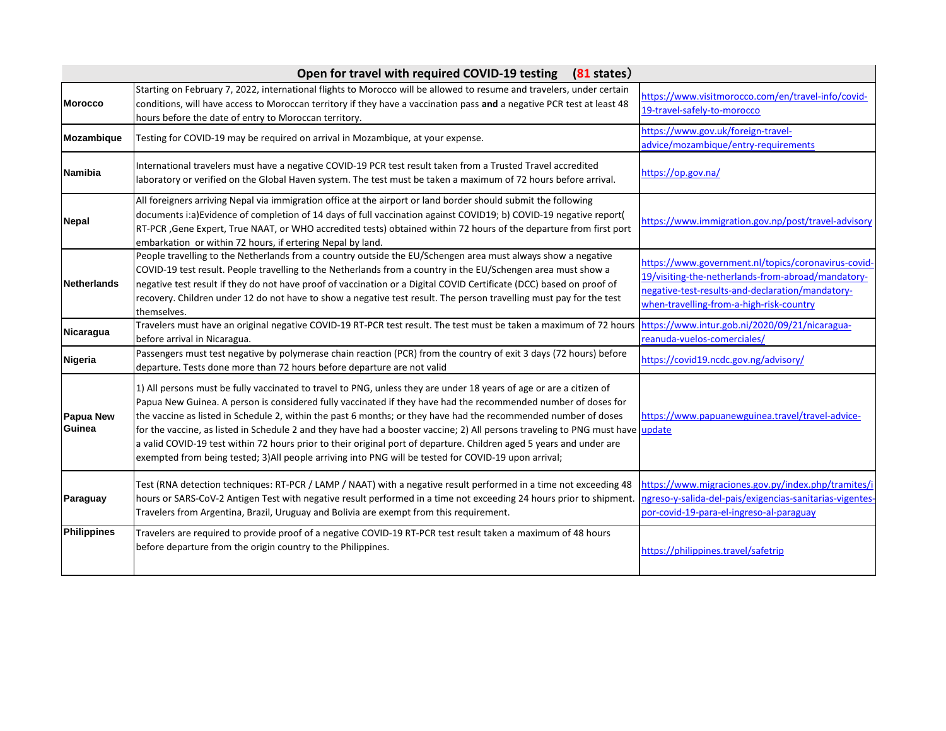| Open for travel with required COVID-19 testing (81 states) |                                                                                                                                                                                                                                                                                                                                                                                                                                                                                                                                                                                                                                                                                                                            |                                                                                                                                                                                                           |
|------------------------------------------------------------|----------------------------------------------------------------------------------------------------------------------------------------------------------------------------------------------------------------------------------------------------------------------------------------------------------------------------------------------------------------------------------------------------------------------------------------------------------------------------------------------------------------------------------------------------------------------------------------------------------------------------------------------------------------------------------------------------------------------------|-----------------------------------------------------------------------------------------------------------------------------------------------------------------------------------------------------------|
| <b>Morocco</b>                                             | Starting on February 7, 2022, international flights to Morocco will be allowed to resume and travelers, under certain<br>conditions, will have access to Moroccan territory if they have a vaccination pass and a negative PCR test at least 48<br>hours before the date of entry to Moroccan territory.                                                                                                                                                                                                                                                                                                                                                                                                                   | https://www.visitmorocco.com/en/travel-info/covid-<br>19-travel-safely-to-morocco                                                                                                                         |
| Mozambique                                                 | Testing for COVID-19 may be required on arrival in Mozambique, at your expense.                                                                                                                                                                                                                                                                                                                                                                                                                                                                                                                                                                                                                                            | https://www.gov.uk/foreign-travel-<br>advice/mozambique/entry-requirements                                                                                                                                |
| <b>Namibia</b>                                             | International travelers must have a negative COVID-19 PCR test result taken from a Trusted Travel accredited<br>laboratory or verified on the Global Haven system. The test must be taken a maximum of 72 hours before arrival.                                                                                                                                                                                                                                                                                                                                                                                                                                                                                            | https://op.gov.na/                                                                                                                                                                                        |
| <b>Nepal</b>                                               | All foreigners arriving Nepal via immigration office at the airport or land border should submit the following<br>documents i:a)Evidence of completion of 14 days of full vaccination against COVID19; b) COVID-19 negative report(<br>RT-PCR, Gene Expert, True NAAT, or WHO accredited tests) obtained within 72 hours of the departure from first port<br>embarkation or within 72 hours, if ertering Nepal by land.                                                                                                                                                                                                                                                                                                    | https://www.immigration.gov.np/post/travel-advisory                                                                                                                                                       |
| <b>Netherlands</b>                                         | People travelling to the Netherlands from a country outside the EU/Schengen area must always show a negative<br>COVID-19 test result. People travelling to the Netherlands from a country in the EU/Schengen area must show a<br>negative test result if they do not have proof of vaccination or a Digital COVID Certificate (DCC) based on proof of<br>recovery. Children under 12 do not have to show a negative test result. The person travelling must pay for the test<br>themselves.                                                                                                                                                                                                                                | https://www.government.nl/topics/coronavirus-covid-<br>19/visiting-the-netherlands-from-abroad/mandatory-<br>negative-test-results-and-declaration/mandatory-<br>when-travelling-from-a-high-risk-country |
| Nicaragua                                                  | Travelers must have an original negative COVID-19 RT-PCR test result. The test must be taken a maximum of 72 hours<br>before arrival in Nicaragua.                                                                                                                                                                                                                                                                                                                                                                                                                                                                                                                                                                         | https://www.intur.gob.ni/2020/09/21/nicaragua-<br>reanuda-vuelos-comerciales/                                                                                                                             |
| <b>Nigeria</b>                                             | Passengers must test negative by polymerase chain reaction (PCR) from the country of exit 3 days (72 hours) before<br>departure. Tests done more than 72 hours before departure are not valid                                                                                                                                                                                                                                                                                                                                                                                                                                                                                                                              | https://covid19.ncdc.gov.ng/advisory/                                                                                                                                                                     |
| <b>Papua New</b><br>Guinea                                 | 1) All persons must be fully vaccinated to travel to PNG, unless they are under 18 years of age or are a citizen of<br>Papua New Guinea. A person is considered fully vaccinated if they have had the recommended number of doses for<br>the vaccine as listed in Schedule 2, within the past 6 months; or they have had the recommended number of doses<br>for the vaccine, as listed in Schedule 2 and they have had a booster vaccine; 2) All persons traveling to PNG must have update<br>a valid COVID-19 test within 72 hours prior to their original port of departure. Children aged 5 years and under are<br>exempted from being tested; 3)All people arriving into PNG will be tested for COVID-19 upon arrival; | https://www.papuanewguinea.travel/travel-advice-                                                                                                                                                          |
| Paraguay                                                   | Test (RNA detection techniques: RT-PCR / LAMP / NAAT) with a negative result performed in a time not exceeding 48<br>hours or SARS-CoV-2 Antigen Test with negative result performed in a time not exceeding 24 hours prior to shipment.<br>Travelers from Argentina, Brazil, Uruguay and Bolivia are exempt from this requirement.                                                                                                                                                                                                                                                                                                                                                                                        | https://www.migraciones.gov.py/index.php/tramites/i<br>ngreso-y-salida-del-pais/exigencias-sanitarias-vigentes<br>por-covid-19-para-el-ingreso-al-paraguay                                                |
| <b>Philippines</b>                                         | Travelers are required to provide proof of a negative COVID-19 RT-PCR test result taken a maximum of 48 hours<br>before departure from the origin country to the Philippines.                                                                                                                                                                                                                                                                                                                                                                                                                                                                                                                                              | https://philippines.travel/safetrip                                                                                                                                                                       |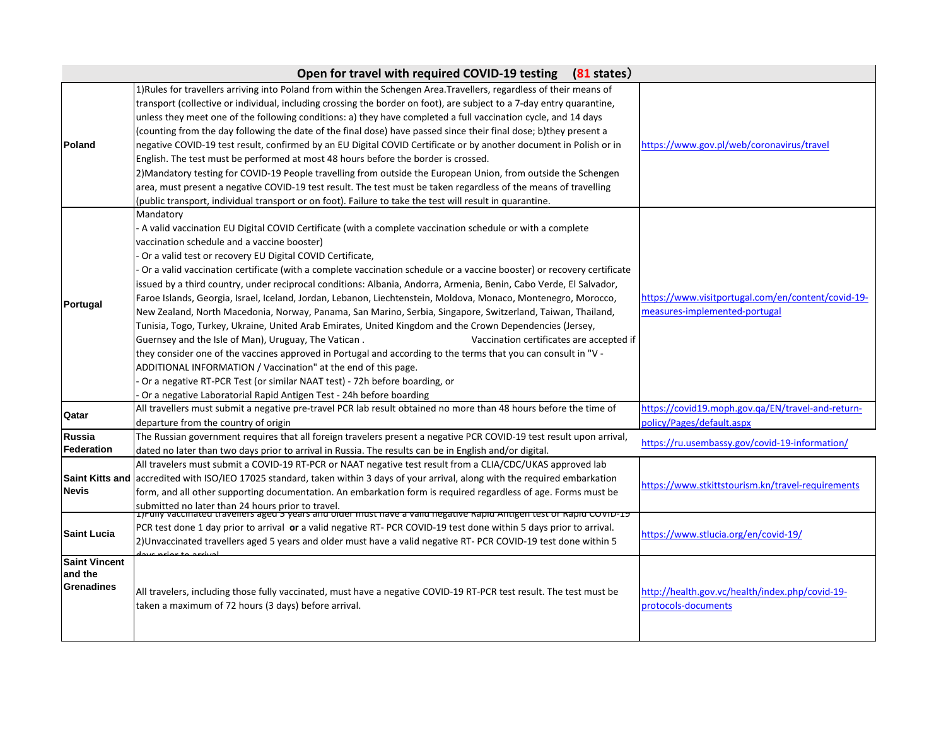|                                                      | Open for travel with required COVID-19 testing<br>$(81$ states)                                                                                                                                                                                                                                                                                                                                                                                                                                                                                                                                                                                                                                                                                                                                                                                                                                                                                                                                                                                                                                                                                                                                                                                                                |                                                                                     |
|------------------------------------------------------|--------------------------------------------------------------------------------------------------------------------------------------------------------------------------------------------------------------------------------------------------------------------------------------------------------------------------------------------------------------------------------------------------------------------------------------------------------------------------------------------------------------------------------------------------------------------------------------------------------------------------------------------------------------------------------------------------------------------------------------------------------------------------------------------------------------------------------------------------------------------------------------------------------------------------------------------------------------------------------------------------------------------------------------------------------------------------------------------------------------------------------------------------------------------------------------------------------------------------------------------------------------------------------|-------------------------------------------------------------------------------------|
| Poland                                               | 1)Rules for travellers arriving into Poland from within the Schengen Area.Travellers, regardless of their means of<br>transport (collective or individual, including crossing the border on foot), are subject to a 7-day entry quarantine,<br>unless they meet one of the following conditions: a) they have completed a full vaccination cycle, and 14 days<br>(counting from the day following the date of the final dose) have passed since their final dose; b)they present a<br>negative COVID-19 test result, confirmed by an EU Digital COVID Certificate or by another document in Polish or in<br>English. The test must be performed at most 48 hours before the border is crossed.<br>2) Mandatory testing for COVID-19 People travelling from outside the European Union, from outside the Schengen<br>area, must present a negative COVID-19 test result. The test must be taken regardless of the means of travelling<br>(public transport, individual transport or on foot). Failure to take the test will result in quarantine.                                                                                                                                                                                                                               | https://www.gov.pl/web/coronavirus/travel                                           |
| Portugal                                             | Mandatory<br>- A valid vaccination EU Digital COVID Certificate (with a complete vaccination schedule or with a complete<br>vaccination schedule and a vaccine booster)<br>Or a valid test or recovery EU Digital COVID Certificate,<br>Or a valid vaccination certificate (with a complete vaccination schedule or a vaccine booster) or recovery certificate<br>issued by a third country, under reciprocal conditions: Albania, Andorra, Armenia, Benin, Cabo Verde, El Salvador,<br>Faroe Islands, Georgia, Israel, Iceland, Jordan, Lebanon, Liechtenstein, Moldova, Monaco, Montenegro, Morocco,<br>New Zealand, North Macedonia, Norway, Panama, San Marino, Serbia, Singapore, Switzerland, Taiwan, Thailand,<br>Tunisia, Togo, Turkey, Ukraine, United Arab Emirates, United Kingdom and the Crown Dependencies (Jersey,<br>Guernsey and the Isle of Man), Uruguay, The Vatican.<br>Vaccination certificates are accepted if<br>they consider one of the vaccines approved in Portugal and according to the terms that you can consult in "V -<br>ADDITIONAL INFORMATION / Vaccination" at the end of this page.<br>Or a negative RT-PCR Test (or similar NAAT test) - 72h before boarding, or<br>Or a negative Laboratorial Rapid Antigen Test - 24h before boarding | https://www.visitportugal.com/en/content/covid-19-<br>measures-implemented-portugal |
| Qatar                                                | All travellers must submit a negative pre-travel PCR lab result obtained no more than 48 hours before the time of<br>departure from the country of origin                                                                                                                                                                                                                                                                                                                                                                                                                                                                                                                                                                                                                                                                                                                                                                                                                                                                                                                                                                                                                                                                                                                      | https://covid19.moph.gov.ga/EN/travel-and-return-<br>policy/Pages/default.aspx      |
| <b>Russia</b><br>Federation                          | The Russian government requires that all foreign travelers present a negative PCR COVID-19 test result upon arrival,<br>dated no later than two days prior to arrival in Russia. The results can be in English and/or digital.                                                                                                                                                                                                                                                                                                                                                                                                                                                                                                                                                                                                                                                                                                                                                                                                                                                                                                                                                                                                                                                 | https://ru.usembassy.gov/covid-19-information/                                      |
| <b>Saint Kitts and</b><br><b>Nevis</b>               | All travelers must submit a COVID-19 RT-PCR or NAAT negative test result from a CLIA/CDC/UKAS approved lab<br>accredited with ISO/IEO 17025 standard, taken within 3 days of your arrival, along with the required embarkation<br>form, and all other supporting documentation. An embarkation form is required regardless of age. Forms must be<br>submitted no later than 24 hours prior to travel.<br> 1)Funy vaccinated traveners aged 5 years and older must nave a valid negative Rapid Antigen test or Rapid COVID-19                                                                                                                                                                                                                                                                                                                                                                                                                                                                                                                                                                                                                                                                                                                                                   | https://www.stkittstourism.kn/travel-requirements                                   |
| <b>Saint Lucia</b>                                   | PCR test done 1 day prior to arrival or a valid negative RT- PCR COVID-19 test done within 5 days prior to arrival.<br>2) Unvaccinated travellers aged 5 years and older must have a valid negative RT- PCR COVID-19 test done within 5                                                                                                                                                                                                                                                                                                                                                                                                                                                                                                                                                                                                                                                                                                                                                                                                                                                                                                                                                                                                                                        | https://www.stlucia.org/en/covid-19/                                                |
| <b>Saint Vincent</b><br>and the<br><b>Grenadines</b> | All travelers, including those fully vaccinated, must have a negative COVID-19 RT-PCR test result. The test must be<br>taken a maximum of 72 hours (3 days) before arrival.                                                                                                                                                                                                                                                                                                                                                                                                                                                                                                                                                                                                                                                                                                                                                                                                                                                                                                                                                                                                                                                                                                    | http://health.gov.vc/health/index.php/covid-19-<br>protocols-documents              |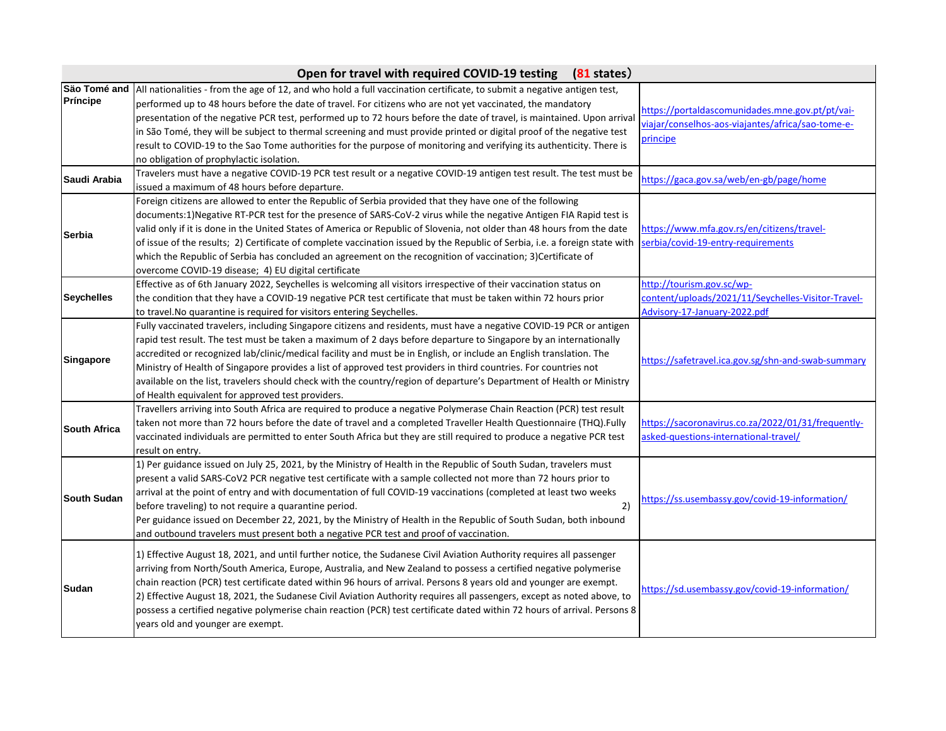|                     | Open for travel with required COVID-19 testing (81 states)                                                                                                                                                                                                                                                                                                                                                                                                                                                                                                                                                                                                                  |                                                                                                                  |
|---------------------|-----------------------------------------------------------------------------------------------------------------------------------------------------------------------------------------------------------------------------------------------------------------------------------------------------------------------------------------------------------------------------------------------------------------------------------------------------------------------------------------------------------------------------------------------------------------------------------------------------------------------------------------------------------------------------|------------------------------------------------------------------------------------------------------------------|
| Príncipe            | São Tomé and  All nationalities - from the age of 12, and who hold a full vaccination certificate, to submit a negative antigen test,<br>performed up to 48 hours before the date of travel. For citizens who are not yet vaccinated, the mandatory<br>presentation of the negative PCR test, performed up to 72 hours before the date of travel, is maintained. Upon arrival<br>in São Tomé, they will be subject to thermal screening and must provide printed or digital proof of the negative test<br>result to COVID-19 to the Sao Tome authorities for the purpose of monitoring and verifying its authenticity. There is<br>no obligation of prophylactic isolation. | https://portaldascomunidades.mne.gov.pt/pt/vai-<br>viajar/conselhos-aos-viajantes/africa/sao-tome-e-<br>principe |
| Saudi Arabia        | Travelers must have a negative COVID-19 PCR test result or a negative COVID-19 antigen test result. The test must be<br>issued a maximum of 48 hours before departure.                                                                                                                                                                                                                                                                                                                                                                                                                                                                                                      | https://gaca.gov.sa/web/en-gb/page/home                                                                          |
| <b>Serbia</b>       | Foreign citizens are allowed to enter the Republic of Serbia provided that they have one of the following<br>documents:1)Negative RT-PCR test for the presence of SARS-CoV-2 virus while the negative Antigen FIA Rapid test is<br>valid only if it is done in the United States of America or Republic of Slovenia, not older than 48 hours from the date<br>of issue of the results; 2) Certificate of complete vaccination issued by the Republic of Serbia, i.e. a foreign state with<br>which the Republic of Serbia has concluded an agreement on the recognition of vaccination; 3)Certificate of<br>overcome COVID-19 disease; 4) EU digital certificate            | https://www.mfa.gov.rs/en/citizens/travel-<br>serbia/covid-19-entry-requirements                                 |
| <b>Seychelles</b>   | Effective as of 6th January 2022, Seychelles is welcoming all visitors irrespective of their vaccination status on<br>the condition that they have a COVID-19 negative PCR test certificate that must be taken within 72 hours prior<br>to travel. No quarantine is required for visitors entering Seychelles.                                                                                                                                                                                                                                                                                                                                                              | http://tourism.gov.sc/wp-<br>content/uploads/2021/11/Seychelles-Visitor-Travel-<br>Advisory-17-January-2022.pdf  |
| <b>Singapore</b>    | Fully vaccinated travelers, including Singapore citizens and residents, must have a negative COVID-19 PCR or antigen<br>rapid test result. The test must be taken a maximum of 2 days before departure to Singapore by an internationally<br>accredited or recognized lab/clinic/medical facility and must be in English, or include an English translation. The<br>Ministry of Health of Singapore provides a list of approved test providers in third countries. For countries not<br>available on the list, travelers should check with the country/region of departure's Department of Health or Ministry<br>of Health equivalent for approved test providers.          | https://safetravel.ica.gov.sg/shn-and-swab-summary                                                               |
| <b>South Africa</b> | Travellers arriving into South Africa are required to produce a negative Polymerase Chain Reaction (PCR) test result<br>taken not more than 72 hours before the date of travel and a completed Traveller Health Questionnaire (THQ).Fully<br>vaccinated individuals are permitted to enter South Africa but they are still required to produce a negative PCR test<br>result on entry.                                                                                                                                                                                                                                                                                      | https://sacoronavirus.co.za/2022/01/31/frequently-<br>asked-questions-international-travel/                      |
| <b>South Sudan</b>  | 1) Per guidance issued on July 25, 2021, by the Ministry of Health in the Republic of South Sudan, travelers must<br>present a valid SARS-CoV2 PCR negative test certificate with a sample collected not more than 72 hours prior to<br>arrival at the point of entry and with documentation of full COVID-19 vaccinations (completed at least two weeks<br>2)<br>before traveling) to not require a quarantine period.<br>Per guidance issued on December 22, 2021, by the Ministry of Health in the Republic of South Sudan, both inbound<br>and outbound travelers must present both a negative PCR test and proof of vaccination.                                       | https://ss.usembassy.gov/covid-19-information/                                                                   |
| Sudan               | 1) Effective August 18, 2021, and until further notice, the Sudanese Civil Aviation Authority requires all passenger<br>arriving from North/South America, Europe, Australia, and New Zealand to possess a certified negative polymerise<br>chain reaction (PCR) test certificate dated within 96 hours of arrival. Persons 8 years old and younger are exempt.<br>2) Effective August 18, 2021, the Sudanese Civil Aviation Authority requires all passengers, except as noted above, to<br>possess a certified negative polymerise chain reaction (PCR) test certificate dated within 72 hours of arrival. Persons 8<br>years old and younger are exempt.                 | https://sd.usembassy.gov/covid-19-information/                                                                   |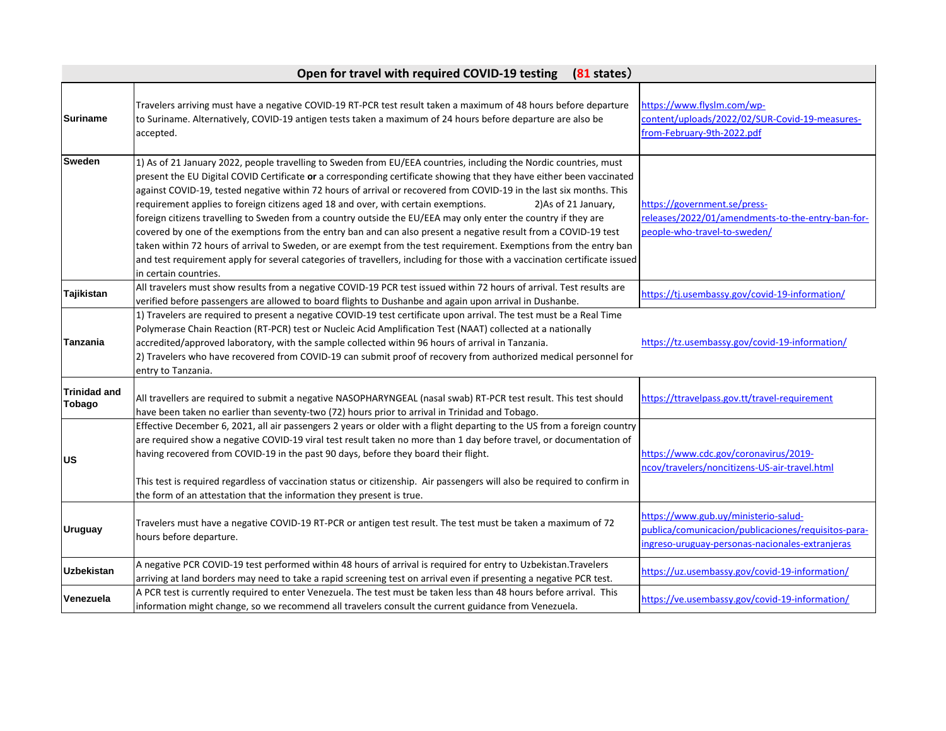|                                      | Open for travel with required COVID-19 testing<br>$(81$ states)                                                                                                                                                                                                                                                                                                                                                                                                                                                                                                                                                                                                                                                                                                                                                                                                                                                                                                                                    |                                                                                                                                                |
|--------------------------------------|----------------------------------------------------------------------------------------------------------------------------------------------------------------------------------------------------------------------------------------------------------------------------------------------------------------------------------------------------------------------------------------------------------------------------------------------------------------------------------------------------------------------------------------------------------------------------------------------------------------------------------------------------------------------------------------------------------------------------------------------------------------------------------------------------------------------------------------------------------------------------------------------------------------------------------------------------------------------------------------------------|------------------------------------------------------------------------------------------------------------------------------------------------|
| <b>Suriname</b>                      | Travelers arriving must have a negative COVID-19 RT-PCR test result taken a maximum of 48 hours before departure<br>to Suriname. Alternatively, COVID-19 antigen tests taken a maximum of 24 hours before departure are also be<br>accepted.                                                                                                                                                                                                                                                                                                                                                                                                                                                                                                                                                                                                                                                                                                                                                       | https://www.flyslm.com/wp-<br>content/uploads/2022/02/SUR-Covid-19-measures-<br>from-February-9th-2022.pdf                                     |
| Sweden                               | 1) As of 21 January 2022, people travelling to Sweden from EU/EEA countries, including the Nordic countries, must<br>present the EU Digital COVID Certificate or a corresponding certificate showing that they have either been vaccinated<br>against COVID-19, tested negative within 72 hours of arrival or recovered from COVID-19 in the last six months. This<br>requirement applies to foreign citizens aged 18 and over, with certain exemptions.<br>2) As of 21 January,<br>foreign citizens travelling to Sweden from a country outside the EU/EEA may only enter the country if they are<br>covered by one of the exemptions from the entry ban and can also present a negative result from a COVID-19 test<br>taken within 72 hours of arrival to Sweden, or are exempt from the test requirement. Exemptions from the entry ban<br>and test requirement apply for several categories of travellers, including for those with a vaccination certificate issued<br>in certain countries. | https://government.se/press-<br>releases/2022/01/amendments-to-the-entry-ban-for-<br>people-who-travel-to-sweden/                              |
| Tajikistan                           | All travelers must show results from a negative COVID-19 PCR test issued within 72 hours of arrival. Test results are<br>verified before passengers are allowed to board flights to Dushanbe and again upon arrival in Dushanbe.                                                                                                                                                                                                                                                                                                                                                                                                                                                                                                                                                                                                                                                                                                                                                                   | https://tj.usembassy.gov/covid-19-information/                                                                                                 |
| Tanzania                             | 1) Travelers are required to present a negative COVID-19 test certificate upon arrival. The test must be a Real Time<br>Polymerase Chain Reaction (RT-PCR) test or Nucleic Acid Amplification Test (NAAT) collected at a nationally<br>accredited/approved laboratory, with the sample collected within 96 hours of arrival in Tanzania.<br>2) Travelers who have recovered from COVID-19 can submit proof of recovery from authorized medical personnel for<br>entry to Tanzania.                                                                                                                                                                                                                                                                                                                                                                                                                                                                                                                 | https://tz.usembassy.gov/covid-19-information/                                                                                                 |
| <b>Trinidad and</b><br><b>Tobago</b> | All travellers are required to submit a negative NASOPHARYNGEAL (nasal swab) RT-PCR test result. This test should<br>have been taken no earlier than seventy-two (72) hours prior to arrival in Trinidad and Tobago.                                                                                                                                                                                                                                                                                                                                                                                                                                                                                                                                                                                                                                                                                                                                                                               | https://ttravelpass.gov.tt/travel-requirement                                                                                                  |
| <b>US</b>                            | Effective December 6, 2021, all air passengers 2 years or older with a flight departing to the US from a foreign country<br>are required show a negative COVID-19 viral test result taken no more than 1 day before travel, or documentation of<br>having recovered from COVID-19 in the past 90 days, before they board their flight.<br>This test is required regardless of vaccination status or citizenship. Air passengers will also be required to confirm in<br>the form of an attestation that the information they present is true.                                                                                                                                                                                                                                                                                                                                                                                                                                                       | https://www.cdc.gov/coronavirus/2019-<br>ncov/travelers/noncitizens-US-air-travel.html                                                         |
| <b>Uruguay</b>                       | Travelers must have a negative COVID-19 RT-PCR or antigen test result. The test must be taken a maximum of 72<br>hours before departure.                                                                                                                                                                                                                                                                                                                                                                                                                                                                                                                                                                                                                                                                                                                                                                                                                                                           | https://www.gub.uy/ministerio-salud-<br>publica/comunicacion/publicaciones/requisitos-para-<br>ingreso-uruguay-personas-nacionales-extranjeras |
| <b>Uzbekistan</b>                    | A negative PCR COVID-19 test performed within 48 hours of arrival is required for entry to Uzbekistan.Travelers<br>arriving at land borders may need to take a rapid screening test on arrival even if presenting a negative PCR test.                                                                                                                                                                                                                                                                                                                                                                                                                                                                                                                                                                                                                                                                                                                                                             | https://uz.usembassy.gov/covid-19-information/                                                                                                 |
| Venezuela                            | A PCR test is currently required to enter Venezuela. The test must be taken less than 48 hours before arrival. This<br>information might change, so we recommend all travelers consult the current guidance from Venezuela.                                                                                                                                                                                                                                                                                                                                                                                                                                                                                                                                                                                                                                                                                                                                                                        | https://ve.usembassy.gov/covid-19-information/                                                                                                 |